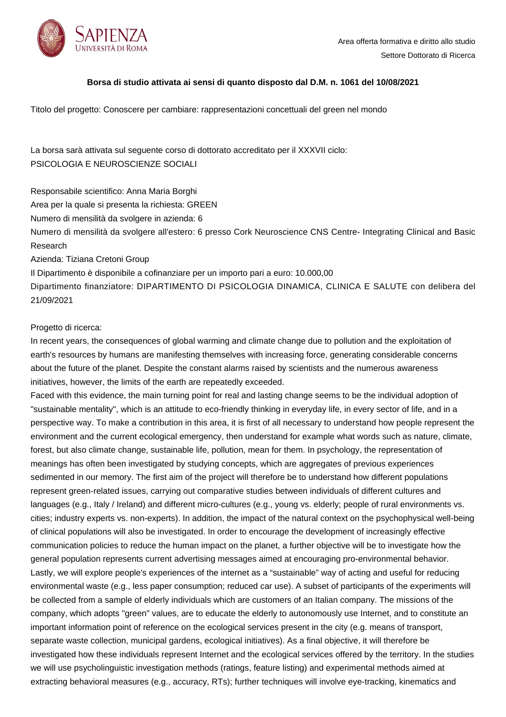

## **Borsa di studio attivata ai sensi di quanto disposto dal D.M. n. 1061 del 10/08/2021**

Titolo del progetto: Conoscere per cambiare: rappresentazioni concettuali del green nel mondo

La borsa sarà attivata sul seguente corso di dottorato accreditato per il XXXVII ciclo: PSICOLOGIA E NEUROSCIENZE SOCIALI

Responsabile scientifico: Anna Maria Borghi

Area per la quale si presenta la richiesta: GREEN

Numero di mensilità da svolgere in azienda: 6

Numero di mensilità da svolgere all'estero: 6 presso Cork Neuroscience CNS Centre- Integrating Clinical and Basic Research

Azienda: Tiziana Cretoni Group

Il Dipartimento è disponibile a cofinanziare per un importo pari a euro: 10.000,00 Dipartimento finanziatore: DIPARTIMENTO DI PSICOLOGIA DINAMICA, CLINICA E SALUTE con delibera del 21/09/2021

## Progetto di ricerca:

In recent years, the consequences of global warming and climate change due to pollution and the exploitation of earth's resources by humans are manifesting themselves with increasing force, generating considerable concerns about the future of the planet. Despite the constant alarms raised by scientists and the numerous awareness initiatives, however, the limits of the earth are repeatedly exceeded.

Faced with this evidence, the main turning point for real and lasting change seems to be the individual adoption of "sustainable mentality", which is an attitude to eco-friendly thinking in everyday life, in every sector of life, and in a perspective way. To make a contribution in this area, it is first of all necessary to understand how people represent the environment and the current ecological emergency, then understand for example what words such as nature, climate, forest, but also climate change, sustainable life, pollution, mean for them. In psychology, the representation of meanings has often been investigated by studying concepts, which are aggregates of previous experiences sedimented in our memory. The first aim of the project will therefore be to understand how different populations represent green-related issues, carrying out comparative studies between individuals of different cultures and languages (e.g., Italy / Ireland) and different micro-cultures (e.g., young vs. elderly; people of rural environments vs. cities; industry experts vs. non-experts). In addition, the impact of the natural context on the psychophysical well-being of clinical populations will also be investigated. In order to encourage the development of increasingly effective communication policies to reduce the human impact on the planet, a further objective will be to investigate how the general population represents current advertising messages aimed at encouraging pro-environmental behavior. Lastly, we will explore people's experiences of the internet as a "sustainable" way of acting and useful for reducing environmental waste (e.g., less paper consumption; reduced car use). A subset of participants of the experiments will be collected from a sample of elderly individuals which are customers of an Italian company. The missions of the company, which adopts "green" values, are to educate the elderly to autonomously use Internet, and to constitute an important information point of reference on the ecological services present in the city (e.g. means of transport, separate waste collection, municipal gardens, ecological initiatives). As a final objective, it will therefore be investigated how these individuals represent Internet and the ecological services offered by the territory. In the studies we will use psycholinguistic investigation methods (ratings, feature listing) and experimental methods aimed at extracting behavioral measures (e.g., accuracy, RTs); further techniques will involve eye-tracking, kinematics and